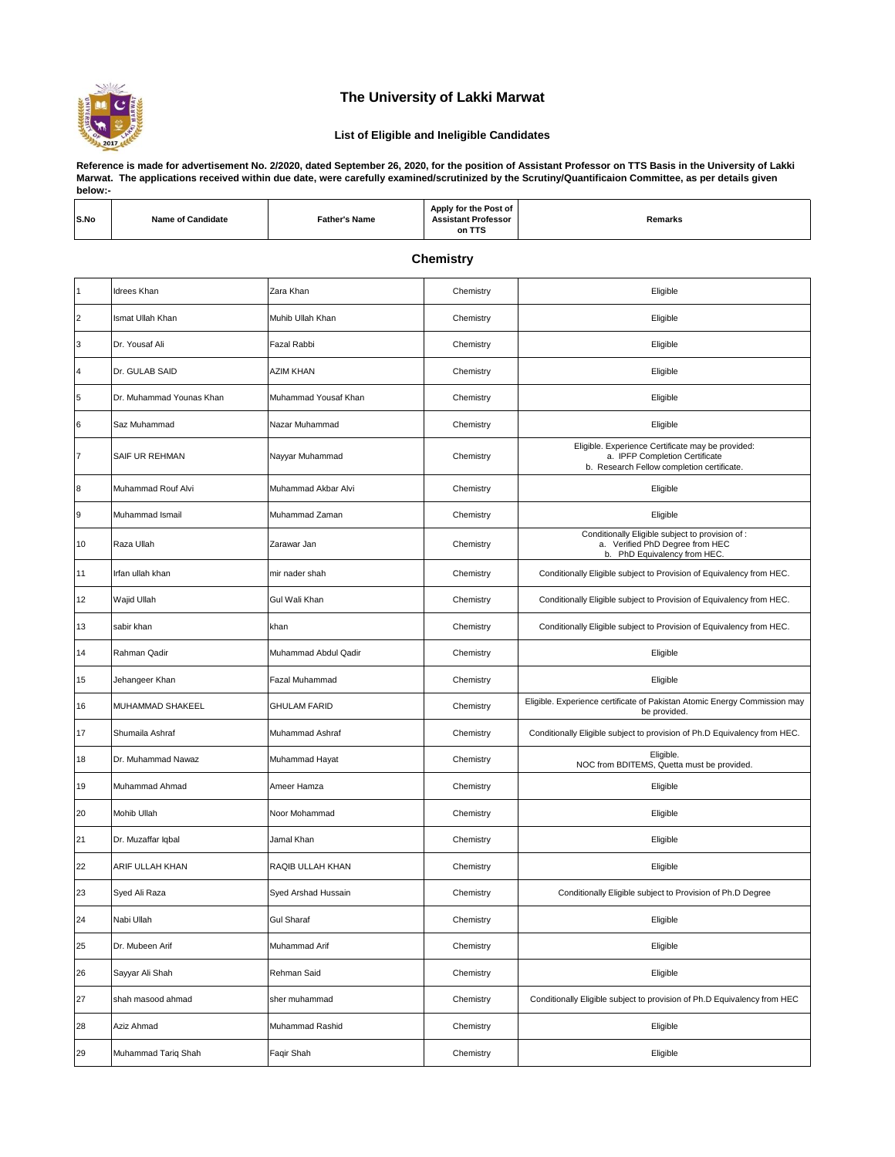

## **The University of Lakki Marwat**

## **List of Eligible and Ineligible Candidates**

**Reference is made for advertisement No. 2/2020, dated September 26, 2020, for the position of Assistant Professor on TTS Basis in the University of Lakki Marwat. The applications received within due date, were carefully examined/scrutinized by the Scrutiny/Quantificaion Committee, as per details given below:-**

| S.No                    | <b>Name of Candidate</b> | <b>Father's Name</b> | Apply for the Post of<br><b>Assistant Professor</b><br>on TTS | Remarks                                                                                                                           |  |  |
|-------------------------|--------------------------|----------------------|---------------------------------------------------------------|-----------------------------------------------------------------------------------------------------------------------------------|--|--|
|                         | <b>Chemistry</b>         |                      |                                                               |                                                                                                                                   |  |  |
| 1                       | Idrees Khan              | Zara Khan            | Chemistry                                                     | Eligible                                                                                                                          |  |  |
| $\overline{2}$          | Ismat Ullah Khan         | Muhib Ullah Khan     | Chemistry                                                     | Eligible                                                                                                                          |  |  |
| 3                       | Dr. Yousaf Ali           | Fazal Rabbi          | Chemistry                                                     | Eligible                                                                                                                          |  |  |
| $\overline{\mathbf{4}}$ | Dr. GULAB SAID           | AZIM KHAN            | Chemistry                                                     | Eligible                                                                                                                          |  |  |
| 5                       | Dr. Muhammad Younas Khan | Muhammad Yousaf Khan | Chemistry                                                     | Eligible                                                                                                                          |  |  |
| 6                       | Saz Muhammad             | Nazar Muhammad       | Chemistry                                                     | Eligible                                                                                                                          |  |  |
| $\overline{7}$          | SAIF UR REHMAN           | Nayyar Muhammad      | Chemistry                                                     | Eligible. Experience Certificate may be provided:<br>a. IPFP Completion Certificate<br>b. Research Fellow completion certificate. |  |  |
| 8                       | Muhammad Rouf Alvi       | Muhammad Akbar Alvi  | Chemistry                                                     | Eligible                                                                                                                          |  |  |
| 9                       | Muhammad Ismail          | Muhammad Zaman       | Chemistry                                                     | Eligible                                                                                                                          |  |  |
| 10                      | Raza Ullah               | Zarawar Jan          | Chemistry                                                     | Conditionally Eligible subject to provision of :<br>a. Verified PhD Degree from HEC<br>b. PhD Equivalency from HEC.               |  |  |
| 11                      | Irfan ullah khan         | mir nader shah       | Chemistry                                                     | Conditionally Eligible subject to Provision of Equivalency from HEC.                                                              |  |  |
| 12                      | Wajid Ullah              | Gul Wali Khan        | Chemistry                                                     | Conditionally Eligible subject to Provision of Equivalency from HEC.                                                              |  |  |
| 13                      | sabir khan               | khan                 | Chemistry                                                     | Conditionally Eligible subject to Provision of Equivalency from HEC.                                                              |  |  |
| 14                      | Rahman Qadir             | Muhammad Abdul Qadir | Chemistry                                                     | Eligible                                                                                                                          |  |  |
| 15                      | Jehangeer Khan           | Fazal Muhammad       | Chemistry                                                     | Eligible                                                                                                                          |  |  |
| 16                      | MUHAMMAD SHAKEEL         | <b>GHULAM FARID</b>  | Chemistry                                                     | Eligible. Experience certificate of Pakistan Atomic Energy Commission may<br>be provided.                                         |  |  |
| 17                      | Shumaila Ashraf          | Muhammad Ashraf      | Chemistry                                                     | Conditionally Eligible subject to provision of Ph.D Equivalency from HEC.                                                         |  |  |
| 18                      | Dr. Muhammad Nawaz       | Muhammad Hayat       | Chemistry                                                     | Eligible.<br>NOC from BDITEMS, Quetta must be provided.                                                                           |  |  |
| 19                      | Muhammad Ahmad           | Ameer Hamza          | Chemistry                                                     | Eligible                                                                                                                          |  |  |
| 20                      | Mohib Ullah              | Noor Mohammad        | Chemistry                                                     | Eligible                                                                                                                          |  |  |
| 21                      | Dr. Muzaffar Iqbal       | Jamal Khan           | Chemistry                                                     | Eligible                                                                                                                          |  |  |
| 22                      | ARIF ULLAH KHAN          | RAQIB ULLAH KHAN     | Chemistry                                                     | Eligible                                                                                                                          |  |  |
| 23                      | Syed Ali Raza            | Syed Arshad Hussain  | Chemistry                                                     | Conditionally Eligible subject to Provision of Ph.D Degree                                                                        |  |  |
| 24                      | Nabi Ullah               | <b>Gul Sharaf</b>    | Chemistry                                                     | Eligible                                                                                                                          |  |  |
| 25                      | Dr. Mubeen Arif          | Muhammad Arif        | Chemistry                                                     | Eligible                                                                                                                          |  |  |
| 26                      | Sayyar Ali Shah          | Rehman Said          | Chemistry                                                     | Eligible                                                                                                                          |  |  |
| 27                      | shah masood ahmad        | sher muhammad        | Chemistry                                                     | Conditionally Eligible subject to provision of Ph.D Equivalency from HEC                                                          |  |  |
| 28                      | Aziz Ahmad               | Muhammad Rashid      | Chemistry                                                     | Eligible                                                                                                                          |  |  |
| 29                      | Muhammad Tariq Shah      | Faqir Shah           | Chemistry                                                     | Eligible                                                                                                                          |  |  |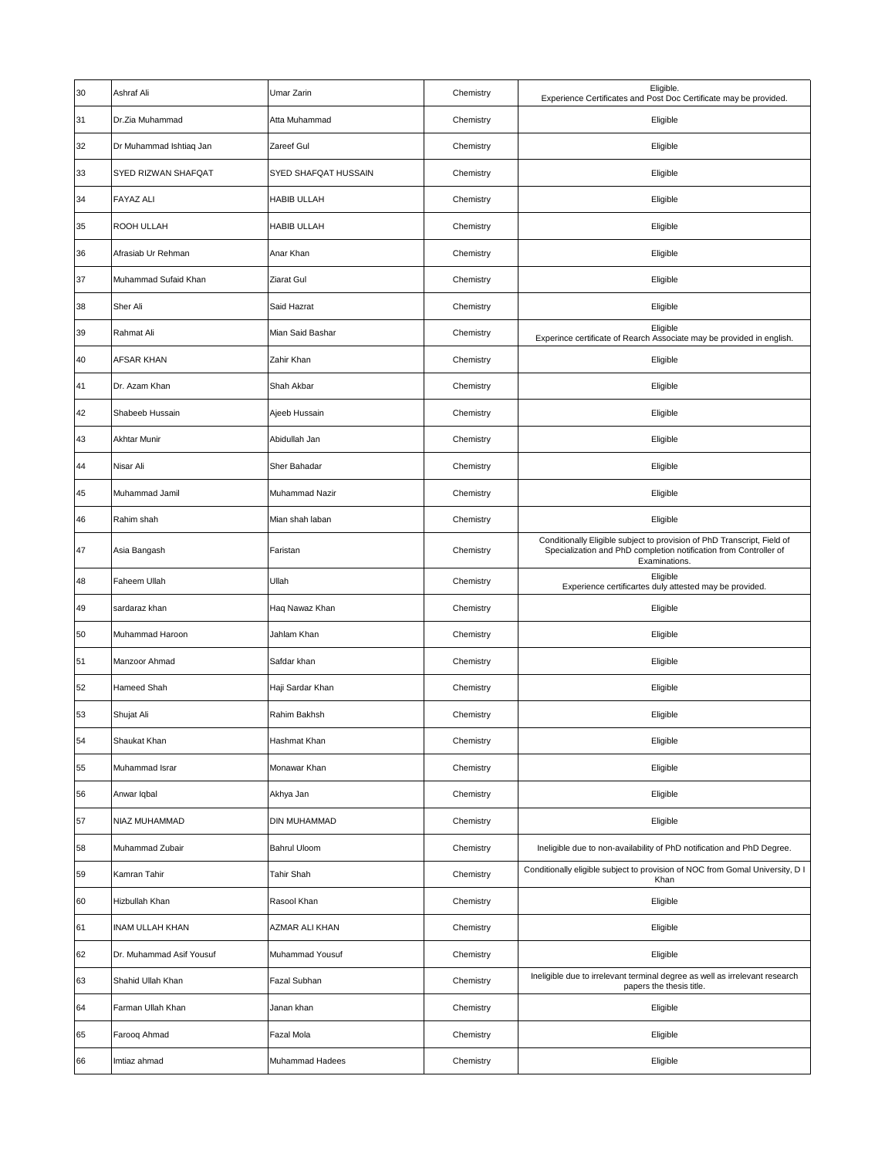| 30 | Ashraf Ali               | Umar Zarin           | Chemistry | Eligible.<br>Experience Certificates and Post Doc Certificate may be provided.                                                                                |
|----|--------------------------|----------------------|-----------|---------------------------------------------------------------------------------------------------------------------------------------------------------------|
| 31 | Dr.Zia Muhammad          | Atta Muhammad        | Chemistry | Eligible                                                                                                                                                      |
| 32 | Dr Muhammad Ishtiaq Jan  | Zareef Gul           | Chemistry | Eligible                                                                                                                                                      |
| 33 | SYED RIZWAN SHAFQAT      | SYED SHAFQAT HUSSAIN | Chemistry | Eligible                                                                                                                                                      |
| 34 | <b>FAYAZ ALI</b>         | HABIB ULLAH          | Chemistry | Eligible                                                                                                                                                      |
| 35 | ROOH ULLAH               | <b>HABIB ULLAH</b>   | Chemistry | Eligible                                                                                                                                                      |
| 36 | Afrasiab Ur Rehman       | Anar Khan            | Chemistry | Eligible                                                                                                                                                      |
| 37 | Muhammad Sufaid Khan     | Ziarat Gul           | Chemistry | Eligible                                                                                                                                                      |
| 38 | Sher Ali                 | Said Hazrat          | Chemistry | Eligible                                                                                                                                                      |
| 39 | Rahmat Ali               | Mian Said Bashar     | Chemistry | Eligible<br>Experince certificate of Rearch Associate may be provided in english.                                                                             |
| 40 | AFSAR KHAN               | Zahir Khan           | Chemistry | Eligible                                                                                                                                                      |
| 41 | Dr. Azam Khan            | Shah Akbar           | Chemistry | Eligible                                                                                                                                                      |
| 42 | Shabeeb Hussain          | Ajeeb Hussain        | Chemistry | Eligible                                                                                                                                                      |
| 43 | Akhtar Munir             | Abidullah Jan        | Chemistry | Eligible                                                                                                                                                      |
| 44 | Nisar Ali                | Sher Bahadar         | Chemistry | Eligible                                                                                                                                                      |
| 45 | Muhammad Jamil           | Muhammad Nazir       | Chemistry | Eligible                                                                                                                                                      |
| 46 | Rahim shah               | Mian shah laban      | Chemistry | Eligible                                                                                                                                                      |
| 47 | Asia Bangash             | Faristan             | Chemistry | Conditionally Eligible subject to provision of PhD Transcript, Field of<br>Specialization and PhD completion notification from Controller of<br>Examinations. |
| 48 | Faheem Ullah             | Ullah                | Chemistry | Eligible<br>Experience certificartes duly attested may be provided.                                                                                           |
| 49 | sardaraz khan            | Haq Nawaz Khan       | Chemistry | Eligible                                                                                                                                                      |
| 50 | Muhammad Haroon          | Jahlam Khan          | Chemistry | Eligible                                                                                                                                                      |
| 51 | Manzoor Ahmad            | Safdar khan          | Chemistry | Eligible                                                                                                                                                      |
| 52 | Hameed Shah              | Haji Sardar Khan     | Chemistry | Eligible                                                                                                                                                      |
| 53 | Shujat Ali               | Rahim Bakhsh         | Chemistry | Eligible                                                                                                                                                      |
| 54 | Shaukat Khan             | Hashmat Khan         | Chemistry | Eligible                                                                                                                                                      |
| 55 | Muhammad Israr           | Monawar Khan         | Chemistry | Eligible                                                                                                                                                      |
| 56 | Anwar Iqbal              | Akhya Jan            | Chemistry | Eligible                                                                                                                                                      |
| 57 | NIAZ MUHAMMAD            | <b>DIN MUHAMMAD</b>  | Chemistry | Eligible                                                                                                                                                      |
| 58 | Muhammad Zubair          | Bahrul Uloom         | Chemistry | Ineligible due to non-availability of PhD notification and PhD Degree.                                                                                        |
| 59 | Kamran Tahir             | Tahir Shah           | Chemistry | Conditionally eligible subject to provision of NOC from Gomal University, D I<br>Khan                                                                         |
| 60 | Hizbullah Khan           | Rasool Khan          | Chemistry | Eligible                                                                                                                                                      |
| 61 | <b>INAM ULLAH KHAN</b>   | AZMAR ALI KHAN       | Chemistry | Eligible                                                                                                                                                      |
| 62 | Dr. Muhammad Asif Yousuf | Muhammad Yousuf      | Chemistry | Eligible                                                                                                                                                      |
| 63 | Shahid Ullah Khan        | Fazal Subhan         | Chemistry | Ineligible due to irrelevant terminal degree as well as irrelevant research<br>papers the thesis title.                                                       |
| 64 | Farman Ullah Khan        | Janan khan           | Chemistry | Eligible                                                                                                                                                      |
| 65 | Farooq Ahmad             | Fazal Mola           | Chemistry | Eligible                                                                                                                                                      |
| 66 | Imtiaz ahmad             | Muhammad Hadees      | Chemistry | Eligible                                                                                                                                                      |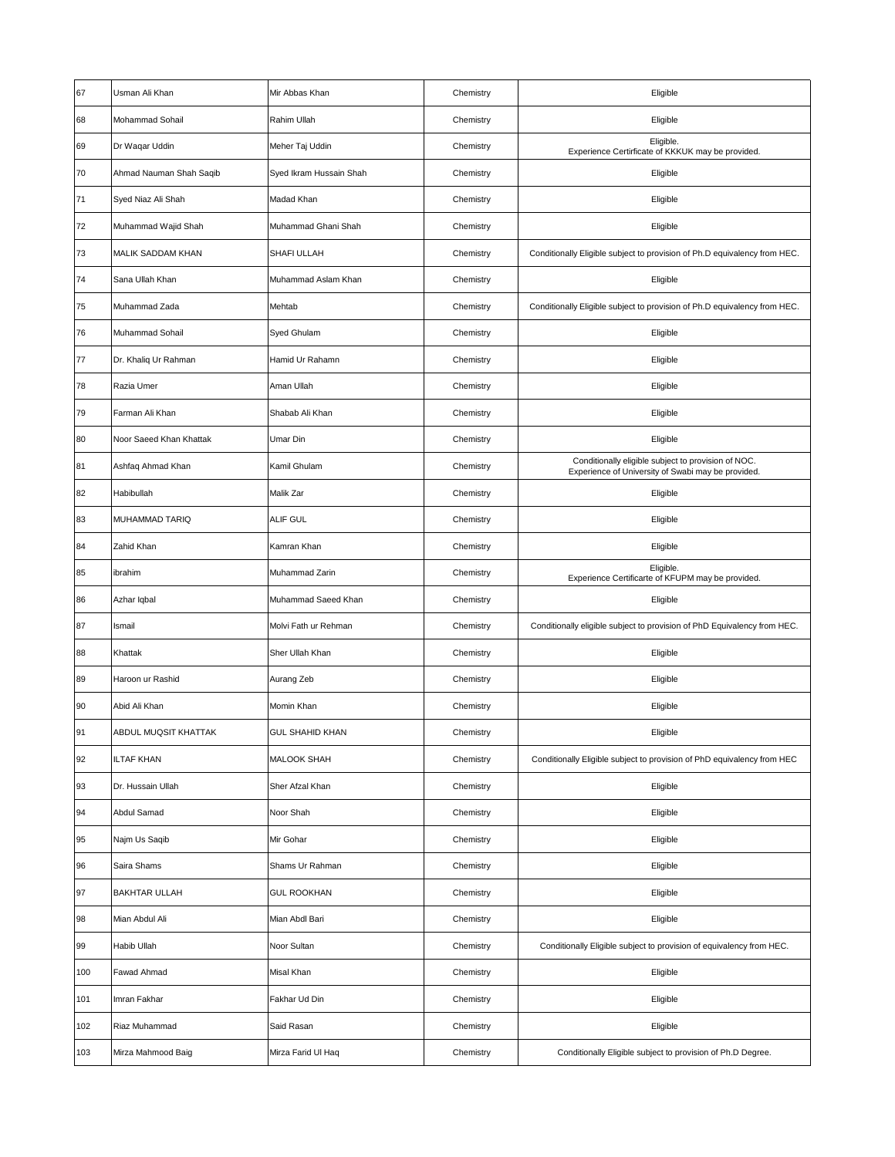| 67  | Usman Ali Khan           | Mir Abbas Khan          | Chemistry | Eligible                                                                                                  |
|-----|--------------------------|-------------------------|-----------|-----------------------------------------------------------------------------------------------------------|
| 68  | <b>Mohammad Sohail</b>   | Rahim Ullah             | Chemistry | Eligible                                                                                                  |
| 69  | Dr Waqar Uddin           | Meher Taj Uddin         | Chemistry | Eligible.<br>Experience Certirficate of KKKUK may be provided.                                            |
| 70  | Ahmad Nauman Shah Saqib  | Syed Ikram Hussain Shah | Chemistry | Eligible                                                                                                  |
| 71  | Syed Niaz Ali Shah       | Madad Khan              | Chemistry | Eligible                                                                                                  |
| 72  | Muhammad Wajid Shah      | Muhammad Ghani Shah     | Chemistry | Eligible                                                                                                  |
| 73  | <b>MALIK SADDAM KHAN</b> | SHAFI ULLAH             | Chemistry | Conditionally Eligible subject to provision of Ph.D equivalency from HEC.                                 |
| 74  | Sana Ullah Khan          | Muhammad Aslam Khan     | Chemistry | Eligible                                                                                                  |
| 75  | Muhammad Zada            | Mehtab                  | Chemistry | Conditionally Eligible subject to provision of Ph.D equivalency from HEC.                                 |
| 76  | Muhammad Sohail          | Syed Ghulam             | Chemistry | Eligible                                                                                                  |
| 77  | Dr. Khaliq Ur Rahman     | Hamid Ur Rahamn         | Chemistry | Eligible                                                                                                  |
| 78  | Razia Umer               | Aman Ullah              | Chemistry | Eligible                                                                                                  |
| 79  | Farman Ali Khan          | Shabab Ali Khan         | Chemistry | Eligible                                                                                                  |
| 80  | Noor Saeed Khan Khattak  | Umar Din                | Chemistry | Eligible                                                                                                  |
| 81  | Ashfaq Ahmad Khan        | Kamil Ghulam            | Chemistry | Conditionally eligible subject to provision of NOC.<br>Experience of University of Swabi may be provided. |
| 82  | Habibullah               | Malik Zar               | Chemistry | Eligible                                                                                                  |
| 83  | MUHAMMAD TARIQ           | ALIF GUL                | Chemistry | Eligible                                                                                                  |
| 84  | Zahid Khan               | Kamran Khan             | Chemistry | Eligible                                                                                                  |
| 85  | ibrahim                  | Muhammad Zarin          | Chemistry | Eligible.<br>Experience Certificarte of KFUPM may be provided.                                            |
| 86  | Azhar Iqbal              | Muhammad Saeed Khan     | Chemistry | Eligible                                                                                                  |
| 87  | Ismail                   | Molvi Fath ur Rehman    | Chemistry | Conditionally eligible subject to provision of PhD Equivalency from HEC.                                  |
| 88  | Khattak                  | Sher Ullah Khan         | Chemistry | Eligible                                                                                                  |
| 89  | Haroon ur Rashid         | Aurang Zeb              | Chemistry | Eligible                                                                                                  |
| 90  | Abid Ali Khan            | Momin Khan              | Chemistry | Eligible                                                                                                  |
| 91  | ABDUL MUOSIT KHATTAK     | <b>GUL SHAHID KHAN</b>  | Chemistry | Eligible                                                                                                  |
| 92  | <b>ILTAF KHAN</b>        | <b>MALOOK SHAH</b>      | Chemistry | Conditionally Eligible subject to provision of PhD equivalency from HEC                                   |
| 93  | Dr. Hussain Ullah        | Sher Afzal Khan         | Chemistry | Eligible                                                                                                  |
| 94  | Abdul Samad              | Noor Shah               | Chemistry | Eligible                                                                                                  |
| 95  | Najm Us Saqib            | Mir Gohar               | Chemistry | Eligible                                                                                                  |
| 96  | Saira Shams              | Shams Ur Rahman         | Chemistry | Eligible                                                                                                  |
| 97  | <b>BAKHTAR ULLAH</b>     | <b>GUL ROOKHAN</b>      | Chemistry | Eligible                                                                                                  |
| 98  | Mian Abdul Ali           | Mian Abdl Bari          | Chemistry | Eligible                                                                                                  |
| 99  | Habib Ullah              | Noor Sultan             | Chemistry | Conditionally Eligible subject to provision of equivalency from HEC.                                      |
| 100 | Fawad Ahmad              | Misal Khan              | Chemistry | Eligible                                                                                                  |
| 101 | Imran Fakhar             | Fakhar Ud Din           | Chemistry | Eligible                                                                                                  |
| 102 | Riaz Muhammad            | Said Rasan              | Chemistry | Eligible                                                                                                  |
| 103 | Mirza Mahmood Baig       | Mirza Farid Ul Haq      | Chemistry | Conditionally Eligible subject to provision of Ph.D Degree.                                               |